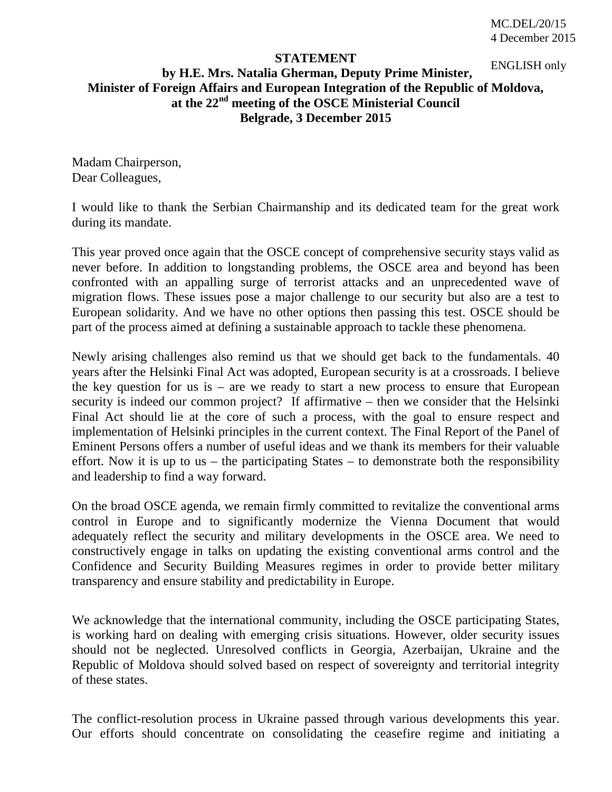## **STATEMENT**

## **by H.E. Mrs. Natalia Gherman, Deputy Prime Minister, Minister of Foreign Affairs and European Integration of the Republic of Moldova, at the 22nd meeting of the OSCE Ministerial Council Belgrade, 3 December 2015** ENGLISH only

Madam Chairperson, Dear Colleagues,

I would like to thank the Serbian Chairmanship and its dedicated team for the great work during its mandate.

This year proved once again that the OSCE concept of comprehensive security stays valid as never before. In addition to longstanding problems, the OSCE area and beyond has been confronted with an appalling surge of terrorist attacks and an unprecedented wave of migration flows. These issues pose a major challenge to our security but also are a test to European solidarity. And we have no other options then passing this test. OSCE should be part of the process aimed at defining a sustainable approach to tackle these phenomena.

Newly arising challenges also remind us that we should get back to the fundamentals. 40 years after the Helsinki Final Act was adopted, European security is at a crossroads. I believe the key question for us is – are we ready to start a new process to ensure that European security is indeed our common project? If affirmative – then we consider that the Helsinki Final Act should lie at the core of such a process, with the goal to ensure respect and implementation of Helsinki principles in the current context. The Final Report of the Panel of Eminent Persons offers a number of useful ideas and we thank its members for their valuable effort. Now it is up to us – the participating States – to demonstrate both the responsibility and leadership to find a way forward.

On the broad OSCE agenda, we remain firmly committed to revitalize the conventional arms control in Europe and to significantly modernize the Vienna Document that would adequately reflect the security and military developments in the OSCE area. We need to constructively engage in talks on updating the existing conventional arms control and the Confidence and Security Building Measures regimes in order to provide better military transparency and ensure stability and predictability in Europe.

We acknowledge that the international community, including the OSCE participating States, is working hard on dealing with emerging crisis situations. However, older security issues should not be neglected. Unresolved conflicts in Georgia, Azerbaijan, Ukraine and the Republic of Moldova should solved based on respect of sovereignty and territorial integrity of these states.

The conflict-resolution process in Ukraine passed through various developments this year. Our efforts should concentrate on consolidating the ceasefire regime and initiating a